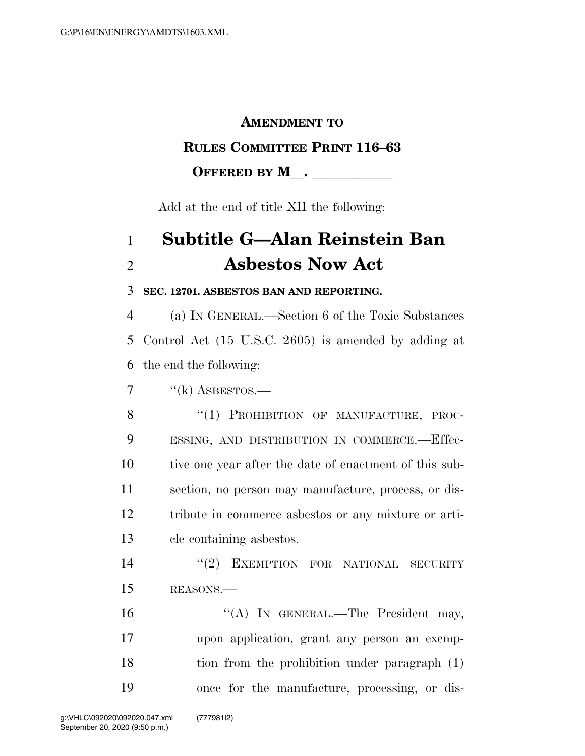#### **AMENDMENT TO**

#### **RULES COMMITTEE PRINT 116–63**

#### **OFFERED BY M**.

Add at the end of title XII the following:

# 1 **Subtitle G—Alan Reinstein Ban**  2 **Asbestos Now Act**

#### 3 **SEC. 12701. ASBESTOS BAN AND REPORTING.**

4 (a) IN GENERAL.—Section 6 of the Toxic Substances 5 Control Act (15 U.S.C. 2605) is amended by adding at 6 the end the following:

 $\frac{7}{2}$  ''(k) ASBESTOS.—

8 "(1) PROHIBITION OF MANUFACTURE, PROC- ESSING, AND DISTRIBUTION IN COMMERCE.—Effec- tive one year after the date of enactment of this sub- section, no person may manufacture, process, or dis- tribute in commerce asbestos or any mixture or arti-cle containing asbestos.

14  $(2)$  EXEMPTION FOR NATIONAL SECURITY 15 REASONS.—

16 "(A) IN GENERAL.—The President may, upon application, grant any person an exemp- tion from the prohibition under paragraph (1) once for the manufacture, processing, or dis-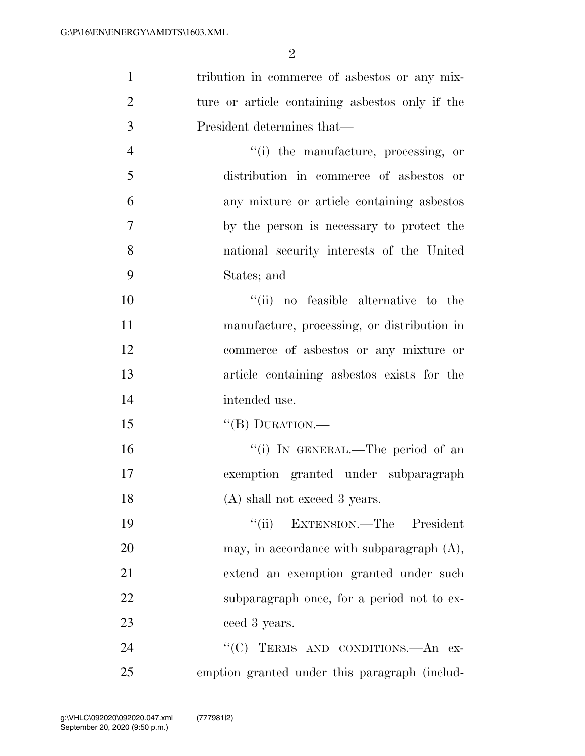| $\mathbf{1}$   | tribution in commerce of asbestos or any mix-  |
|----------------|------------------------------------------------|
| $\overline{2}$ | ture or article containing as best only if the |
| 3              | President determines that—                     |
| $\overline{4}$ | "(i) the manufacture, processing, or           |
| 5              | distribution in commerce of asbestos or        |
| 6              | any mixture or article containing asbestos     |
| 7              | by the person is necessary to protect the      |
| 8              | national security interests of the United      |
| 9              | States; and                                    |
| 10             | "(ii) no feasible alternative to the           |
| 11             | manufacture, processing, or distribution in    |
| 12             | commerce of asbestos or any mixture or         |
| 13             | article containing asbestos exists for the     |
| 14             | intended use.                                  |
| 15             | "(B) DURATION.—                                |
| 16             | "(i) IN GENERAL.—The period of an              |
| 17             | exemption granted under subparagraph           |
| 18             | (A) shall not exceed 3 years.                  |
| 19             | "(ii) EXTENSION.—The President                 |
| 20             | may, in accordance with subparagraph $(A)$ ,   |
| 21             | extend an exemption granted under such         |
| 22             | subparagraph once, for a period not to ex-     |
| 23             | ceed 3 years.                                  |
| 24             | "(C) TERMS AND CONDITIONS.—An ex-              |
| 25             | emption granted under this paragraph (includ-  |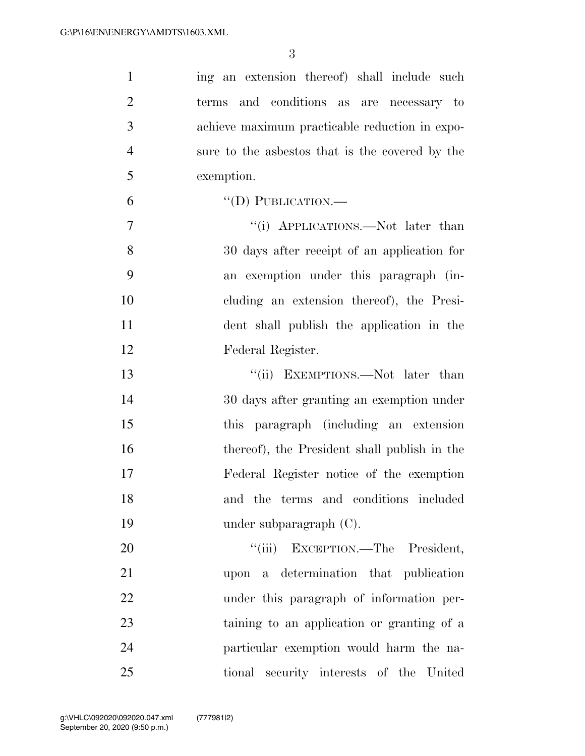| $\mathbf{1}$   | ing an extension thereof) shall include such     |
|----------------|--------------------------------------------------|
| $\overline{2}$ | and conditions as are necessary to<br>terms      |
| 3              | achieve maximum practicable reduction in expo-   |
| $\overline{4}$ | sure to the aspessors that is the covered by the |
| 5              | exemption.                                       |
| 6              | $\lq\lq$ (D) PUBLICATION.—                       |
| $\overline{7}$ | "(i) APPLICATIONS.—Not later than                |
| 8              | 30 days after receipt of an application for      |
| 9              | an exemption under this paragraph (in-           |
| 10             | cluding an extension thereof), the Presi-        |
| 11             | dent shall publish the application in the        |
| 12             | Federal Register.                                |
| 13             | "(ii) EXEMPTIONS.—Not later than                 |
| 14             | 30 days after granting an exemption under        |
| 15             | this paragraph (including an extension           |
| 16             | thereof), the President shall publish in the     |
| 17             | Federal Register notice of the exemption         |
| 18             | and the terms and conditions included            |
| 19             | under subparagraph $(C)$ .                       |
| 20             | "(iii) EXCEPTION.—The President,                 |
| 21             | upon a determination that publication            |
| 22             | under this paragraph of information per-         |
| 23             | taining to an application or granting of a       |
| 24             | particular exemption would harm the na-          |
| 25             | tional security interests of the United          |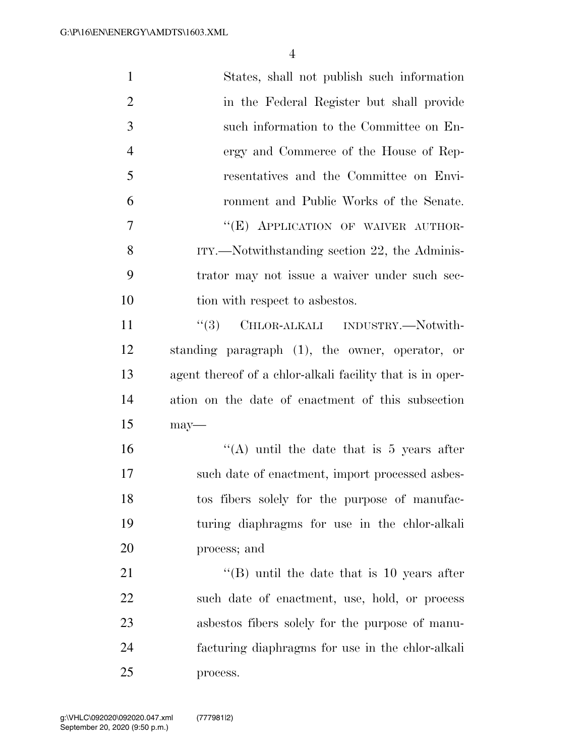| $\mathbf{1}$   | States, shall not publish such information                |
|----------------|-----------------------------------------------------------|
| $\overline{2}$ | in the Federal Register but shall provide                 |
| 3              | such information to the Committee on En-                  |
| $\overline{4}$ | ergy and Commerce of the House of Rep-                    |
| 5              | resentatives and the Committee on Envi-                   |
| 6              | ronment and Public Works of the Senate.                   |
| 7              | "(E) APPLICATION OF WAIVER AUTHOR-                        |
| 8              | ITY.—Notwithstanding section 22, the Adminis-             |
| 9              | trator may not issue a waiver under such sec-             |
| 10             | tion with respect to asbestos.                            |
| 11             | CHLOR-ALKALI INDUSTRY.-Notwith-<br>``(3)                  |
| 12             | standing paragraph (1), the owner, operator, or           |
| 13             | agent thereof of a chlor-alkali facility that is in oper- |
| 14             | ation on the date of enactment of this subsection         |
| 15             | $may$ —                                                   |
| 16             | "(A) until the date that is $5$ years after               |
| 17             | such date of enactment, import processed asbes-           |
| 18             | tos fibers solely for the purpose of manufac-             |
| 19             | turing diaphragms for use in the chlor-alkali             |
| <b>20</b>      | process; and                                              |
| 21             | $\lq$ (B) until the date that is 10 years after           |
| 22             | such date of enactment, use, hold, or process             |
| 23             | as best os fibers solely for the purpose of manu-         |
| 24             | facturing diaphragms for use in the chlor-alkali          |
| 25             | process.                                                  |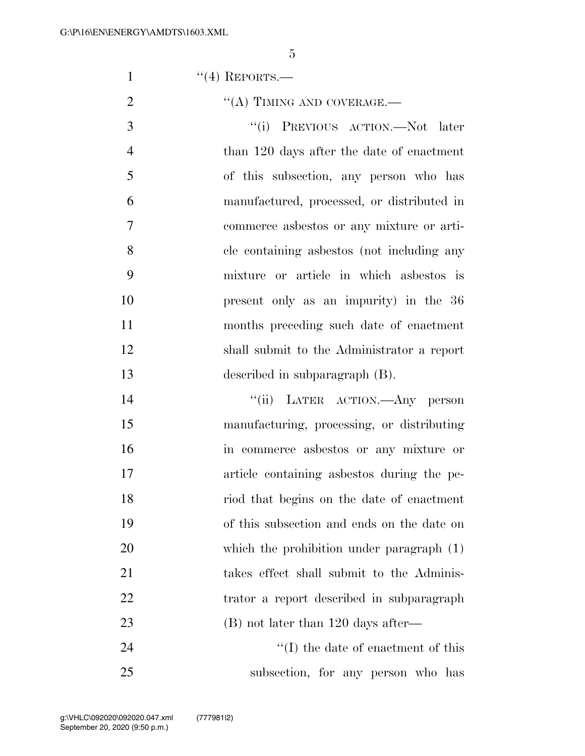1  $((4)$  REPORTS.

 $\text{``(A) TIMING AND COVERAGE.}$ 3 "(i) PREVIOUS ACTION.—Not later 4 than 120 days after the date of enactment of this subsection, any person who has manufactured, processed, or distributed in commerce asbestos or any mixture or arti- cle containing asbestos (not including any mixture or article in which asbestos is present only as an impurity) in the 36 months preceding such date of enactment shall submit to the Administrator a report described in subparagraph (B).

 ''(ii) LATER ACTION.—Any person manufacturing, processing, or distributing in commerce asbestos or any mixture or article containing asbestos during the pe- riod that begins on the date of enactment of this subsection and ends on the date on which the prohibition under paragraph (1) takes effect shall submit to the Adminis- trator a report described in subparagraph 23 (B) not later than 120 days after—

24 ''(I) the date of enactment of this subsection, for any person who has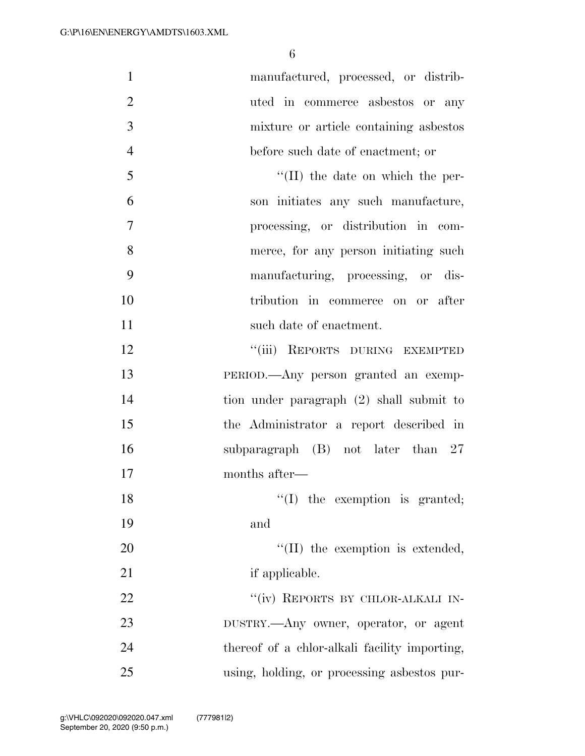| $\mathbf{1}$   | manufactured, processed, or distrib-          |
|----------------|-----------------------------------------------|
| $\overline{2}$ | uted in commerce asbestos or any              |
| 3              | mixture or article containing asbestos        |
| $\overline{4}$ | before such date of enactment; or             |
| 5              | $\lq\lq$ (II) the date on which the per-      |
| 6              | son initiates any such manufacture,           |
| $\overline{7}$ | processing, or distribution in com-           |
| 8              | merce, for any person initiating such         |
| 9              | manufacturing, processing, or dis-            |
| 10             | tribution in commerce on or after             |
| 11             | such date of enactment.                       |
| 12             | "(iii) REPORTS DURING EXEMPTED                |
| 13             | PERIOD.—Any person granted an exemp-          |
| 14             | tion under paragraph (2) shall submit to      |
| 15             | the Administrator a report described in       |
| 16             | subparagraph $(B)$ not later than 27          |
| 17             | months after—                                 |
| 18             | $\lq\lq$ (I) the exemption is granted;        |
| 19             | and                                           |
| 20             | "(II) the exemption is extended,              |
| 21             | if applicable.                                |
| 22             | "(iv) REPORTS BY CHLOR-ALKALI IN-             |
| 23             | DUSTRY.—Any owner, operator, or agent         |
| 24             | thereof of a chlor-alkali facility importing, |
| 25             | using, holding, or processing asbestos pur-   |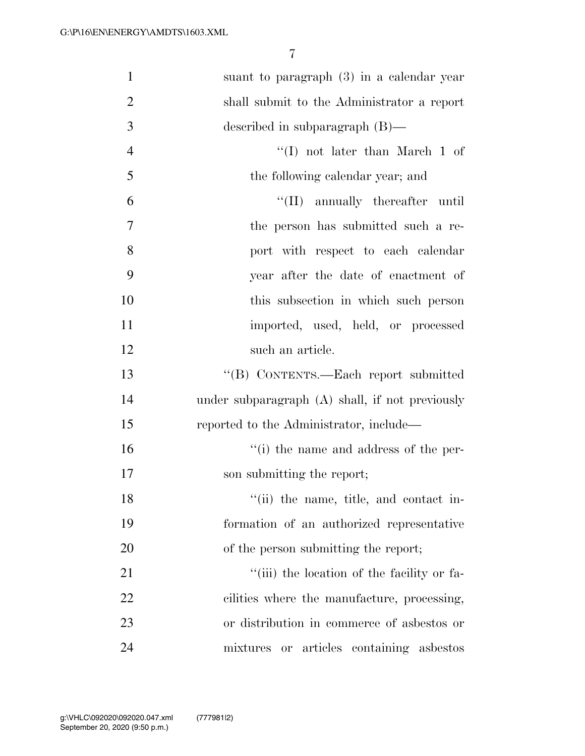| $\mathbf{1}$   | suant to paragraph $(3)$ in a calendar year     |
|----------------|-------------------------------------------------|
| $\overline{2}$ | shall submit to the Administrator a report      |
| 3              | described in subparagraph $(B)$ —               |
| $\overline{4}$ | $\lq\lq$ (I) not later than March 1 of          |
| 5              | the following calendar year; and                |
| 6              | "(II) annually thereafter until                 |
| $\overline{7}$ | the person has submitted such a re-             |
| 8              | port with respect to each calendar              |
| 9              | year after the date of enactment of             |
| 10             | this subsection in which such person            |
| 11             | imported, used, held, or processed              |
| 12             | such an article.                                |
| 13             | "(B) CONTENTS.—Each report submitted            |
| 14             | under subparagraph (A) shall, if not previously |
| 15             | reported to the Administrator, include—         |
| 16             | "(i) the name and address of the per-           |
| 17             | son submitting the report;                      |
| 18             | "(ii) the name, title, and contact in-          |
| 19             | formation of an authorized representative       |
| 20             | of the person submitting the report;            |
| 21             | "(iii) the location of the facility or fa-      |
| 22             | cilities where the manufacture, processing,     |
| 23             | or distribution in commerce of asbestos or      |
| 24             | mixtures or articles containing asbestos        |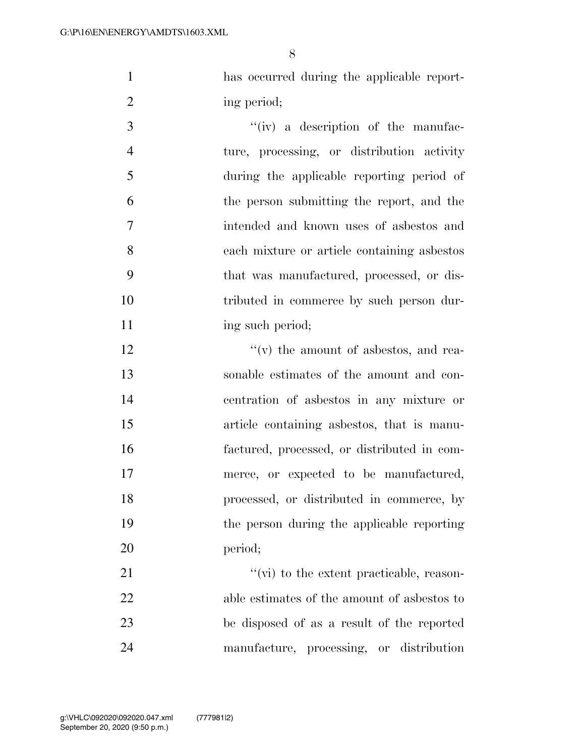has occurred during the applicable report-2 ing period;

 $\frac{1}{\sqrt{2}}$  (iv) a description of the manufac- ture, processing, or distribution activity during the applicable reporting period of the person submitting the report, and the intended and known uses of asbestos and each mixture or article containing asbestos that was manufactured, processed, or dis- tributed in commerce by such person dur-11 ing such period;

 $\gamma$  '(v) the amount of asbestos, and rea- sonable estimates of the amount and con- centration of asbestos in any mixture or article containing asbestos, that is manu- factured, processed, or distributed in com- merce, or expected to be manufactured, processed, or distributed in commerce, by the person during the applicable reporting period;

 $''(\vec{v})$  to the extent practicable, reason- able estimates of the amount of asbestos to be disposed of as a result of the reported manufacture, processing, or distribution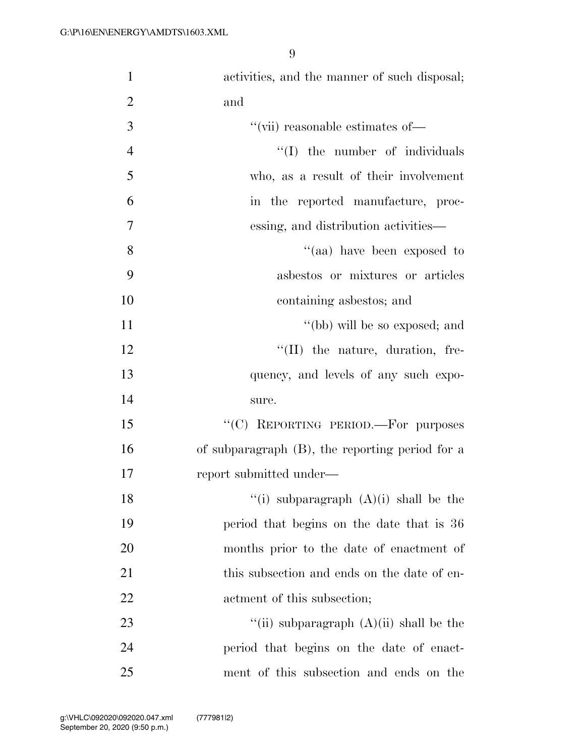| $\mathbf{1}$   | activities, and the manner of such disposal;       |
|----------------|----------------------------------------------------|
| $\overline{2}$ | and                                                |
| 3              | "(vii) reasonable estimates of—                    |
| $\overline{4}$ | "(I) the number of individuals                     |
| 5              | who, as a result of their involvement              |
| 6              | in the reported manufacture, proc-                 |
| 7              | essing, and distribution activities—               |
| 8              | "(aa) have been exposed to                         |
| 9              | asbestos or mixtures or articles                   |
| 10             | containing as bestos; and                          |
| 11             | "(bb) will be so exposed; and                      |
| 12             | $\lq\lq$ (II) the nature, duration, fre-           |
| 13             | quency, and levels of any such expo-               |
| 14             | sure.                                              |
| 15             | "(C) REPORTING PERIOD.—For purposes                |
| 16             | of subparagraph $(B)$ , the reporting period for a |
| 17             | report submitted under—                            |
| 18             | "(i) subparagraph $(A)(i)$ shall be the            |
| 19             | period that begins on the date that is 36          |
| 20             | months prior to the date of enactment of           |
| 21             | this subsection and ends on the date of en-        |
| 22             | actment of this subsection;                        |
| 23             | "(ii) subparagraph $(A)(ii)$ shall be the          |
| 24             | period that begins on the date of enact-           |
| 25             | ment of this subsection and ends on the            |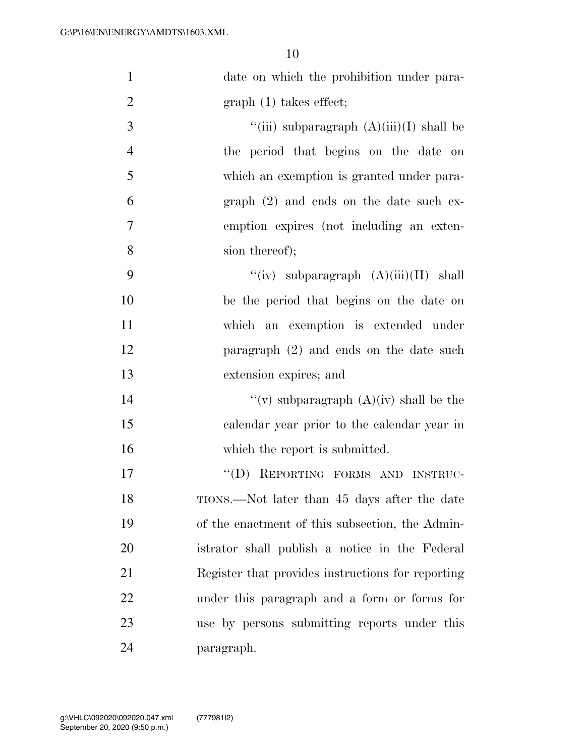| $\mathbf{1}$   | date on which the prohibition under para-         |
|----------------|---------------------------------------------------|
| $\overline{2}$ | $graph(1)$ takes effect;                          |
| 3              | "(iii) subparagraph $(A)(iii)(I)$ shall be        |
| $\overline{4}$ | the period that begins on the date on             |
| 5              | which an exemption is granted under para-         |
| 6              | $graph (2)$ and ends on the date such ex-         |
| 7              | emption expires (not including an exten-          |
| 8              | sion thereof);                                    |
| 9              | "(iv) subparagraph $(A)(iii)(II)$ shall           |
| 10             | be the period that begins on the date on          |
| 11             | which an exemption is extended under              |
| 12             | paragraph $(2)$ and ends on the date such         |
| 13             | extension expires; and                            |
| 14             | "(v) subparagraph $(A)(iv)$ shall be the          |
| 15             | calendar year prior to the calendar year in       |
| 16             | which the report is submitted.                    |
| 17             | "(D) REPORTING FORMS AND INSTRUC-                 |
| 18             | TIONS.—Not later than 45 days after the date      |
| 19             | of the enactment of this subsection, the Admin-   |
| 20             | istrator shall publish a notice in the Federal    |
| 21             | Register that provides instructions for reporting |
| 22             | under this paragraph and a form or forms for      |
| 23             | use by persons submitting reports under this      |
| 24             | paragraph.                                        |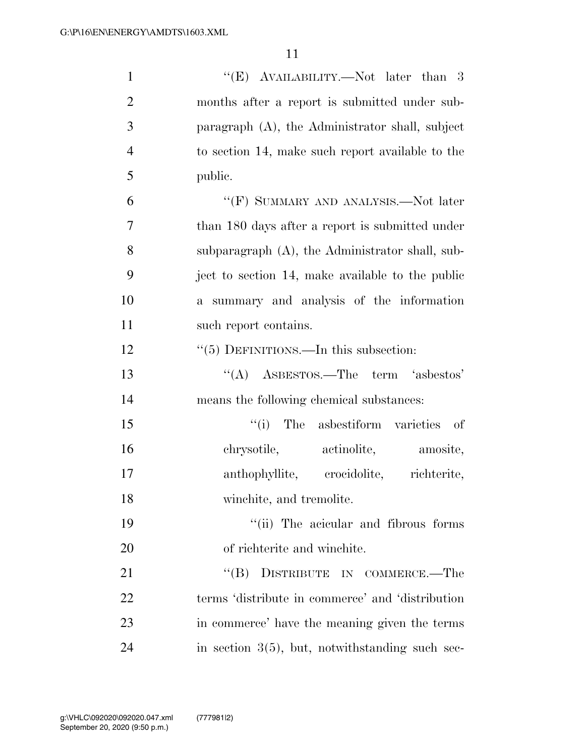| $\mathbf{1}$   | " $(E)$ AVAILABILITY.—Not later than 3             |
|----------------|----------------------------------------------------|
| $\overline{2}$ | months after a report is submitted under sub-      |
| 3              | paragraph (A), the Administrator shall, subject    |
| $\overline{4}$ | to section 14, make such report available to the   |
| 5              | public.                                            |
| 6              | "(F) SUMMARY AND ANALYSIS.—Not later               |
| $\overline{7}$ | than 180 days after a report is submitted under    |
| 8              | subparagraph (A), the Administrator shall, sub-    |
| 9              | ject to section 14, make available to the public   |
| 10             | summary and analysis of the information<br>$a -$   |
| 11             | such report contains.                              |
| 12             | $\cdot\cdot$ (5) DEFINITIONS.—In this subsection:  |
| 13             | $\lq\lq$ ASBESTOS.—The term 'asbestos'             |
| 14             | means the following chemical substances:           |
| 15             | "(i) The asbestiform varieties of                  |
| 16             | chrysotile, actinolite,<br>amosite,                |
| 17             | anthophyllite, crocidolite,<br>richterite,         |
| 18             | winchite, and tremolite.                           |
| 19             | "(ii) The acicular and fibrous forms               |
| <b>20</b>      | of richterite and winchite.                        |
| 21             | DISTRIBUTE IN COMMERCE.-The<br>$\lq\lq (B)$        |
| 22             | terms 'distribute in commerce' and 'distribution   |
| 23             | in commerce' have the meaning given the terms      |
| 24             | in section $3(5)$ , but, notwithstanding such sec- |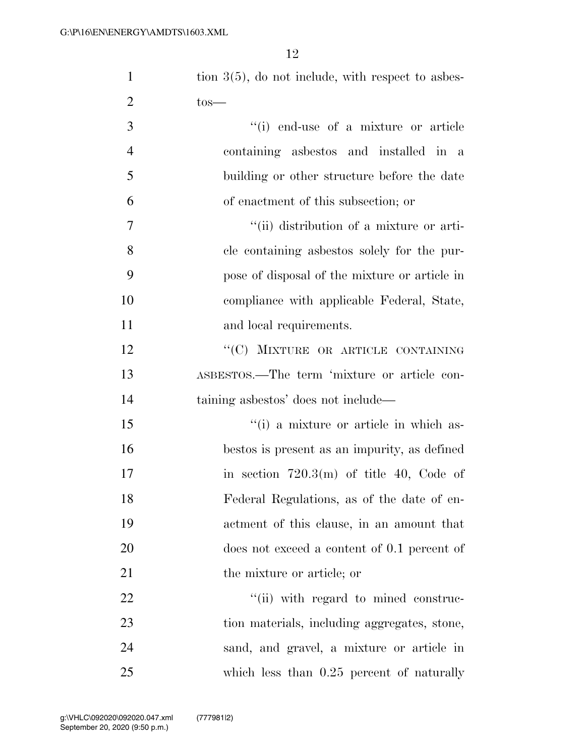| $\mathbf{1}$   | tion $3(5)$ , do not include, with respect to asbes- |
|----------------|------------------------------------------------------|
| $\overline{2}$ | $\text{tos}-$                                        |
| 3              | "(i) end-use of a mixture or article                 |
| $\overline{4}$ | containing aspectors and installed in a              |
| 5              | building or other structure before the date          |
| 6              | of enactment of this subsection; or                  |
| 7              | "(ii) distribution of a mixture or arti-             |
| 8              | cle containing as best os solely for the pur-        |
| 9              | pose of disposal of the mixture or article in        |
| 10             | compliance with applicable Federal, State,           |
| 11             | and local requirements.                              |
| 12             | "(C) MIXTURE OR ARTICLE CONTAINING                   |
| 13             | ASBESTOS.—The term 'mixture or article con-          |
| 14             | taining asbestos' does not include—                  |
| 15             | "(i) a mixture or article in which as-               |
| 16             | bestos is present as an impurity, as defined         |
| 17             | in section $720.3(m)$ of title 40, Code of           |
| 18             | Federal Regulations, as of the date of en-           |
| 19             | actment of this clause, in an amount that            |
| 20             | does not exceed a content of 0.1 percent of          |
| 21             | the mixture or article; or                           |
| 22             | "(ii) with regard to mined construc-                 |
| 23             | tion materials, including aggregates, stone,         |
| 24             | sand, and gravel, a mixture or article in            |
| $25\,$         | which less than $0.25$ percent of naturally          |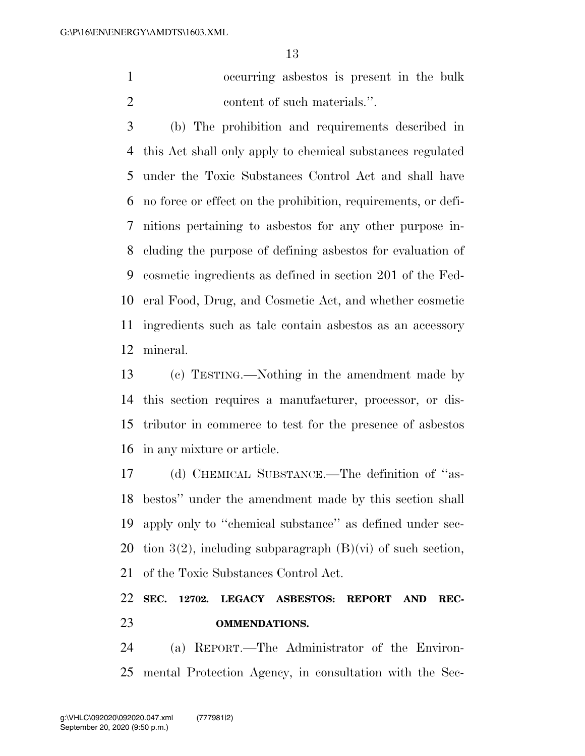occurring asbestos is present in the bulk 2 content of such materials.".

 (b) The prohibition and requirements described in this Act shall only apply to chemical substances regulated under the Toxic Substances Control Act and shall have no force or effect on the prohibition, requirements, or defi- nitions pertaining to asbestos for any other purpose in- cluding the purpose of defining asbestos for evaluation of cosmetic ingredients as defined in section 201 of the Fed- eral Food, Drug, and Cosmetic Act, and whether cosmetic ingredients such as talc contain asbestos as an accessory mineral.

 (c) TESTING.—Nothing in the amendment made by this section requires a manufacturer, processor, or dis- tributor in commerce to test for the presence of asbestos in any mixture or article.

 (d) CHEMICAL SUBSTANCE.—The definition of ''as- bestos'' under the amendment made by this section shall apply only to ''chemical substance'' as defined under sec-20 tion 3(2), including subparagraph  $(B)(\vec{v})$  of such section, of the Toxic Substances Control Act.

### **SEC. 12702. LEGACY ASBESTOS: REPORT AND REC-OMMENDATIONS.**

 (a) REPORT.—The Administrator of the Environ-mental Protection Agency, in consultation with the Sec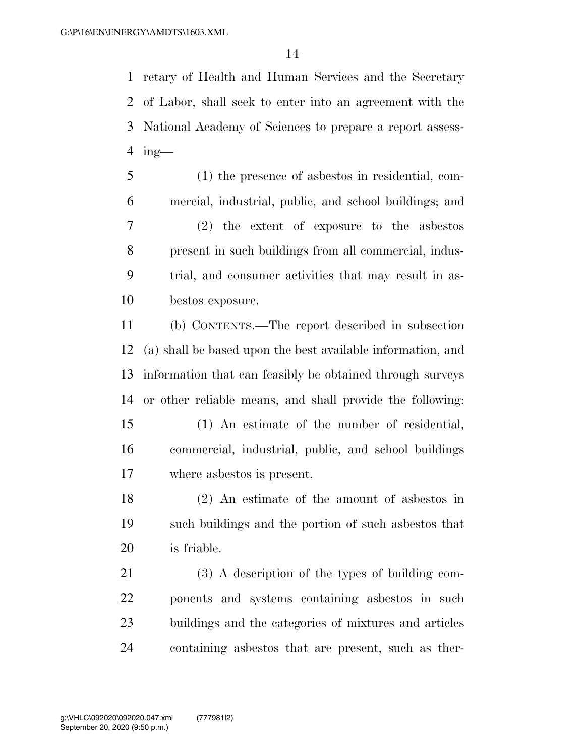retary of Health and Human Services and the Secretary of Labor, shall seek to enter into an agreement with the National Academy of Sciences to prepare a report assess-ing—

 (1) the presence of asbestos in residential, com- mercial, industrial, public, and school buildings; and (2) the extent of exposure to the asbestos present in such buildings from all commercial, indus- trial, and consumer activities that may result in as-bestos exposure.

 (b) CONTENTS.—The report described in subsection (a) shall be based upon the best available information, and information that can feasibly be obtained through surveys or other reliable means, and shall provide the following: (1) An estimate of the number of residential, commercial, industrial, public, and school buildings

where asbestos is present.

 (2) An estimate of the amount of asbestos in such buildings and the portion of such asbestos that is friable.

 (3) A description of the types of building com- ponents and systems containing asbestos in such buildings and the categories of mixtures and articles containing asbestos that are present, such as ther-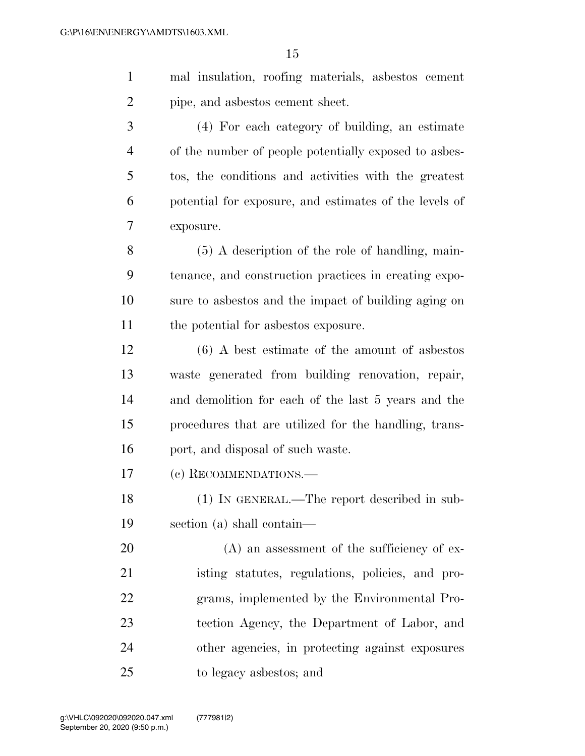| mal insulation, roofing materials, as best os cement |
|------------------------------------------------------|
| pipe, and as best os cement sheet.                   |

 (4) For each category of building, an estimate of the number of people potentially exposed to asbes- tos, the conditions and activities with the greatest potential for exposure, and estimates of the levels of exposure.

 (5) A description of the role of handling, main- tenance, and construction practices in creating expo- sure to asbestos and the impact of building aging on the potential for asbestos exposure.

 (6) A best estimate of the amount of asbestos waste generated from building renovation, repair, and demolition for each of the last 5 years and the procedures that are utilized for the handling, trans-16 port, and disposal of such waste.

(c) RECOMMENDATIONS.—

 (1) IN GENERAL.—The report described in sub-section (a) shall contain—

20 (A) an assessment of the sufficiency of ex- isting statutes, regulations, policies, and pro- grams, implemented by the Environmental Pro- tection Agency, the Department of Labor, and other agencies, in protecting against exposures to legacy asbestos; and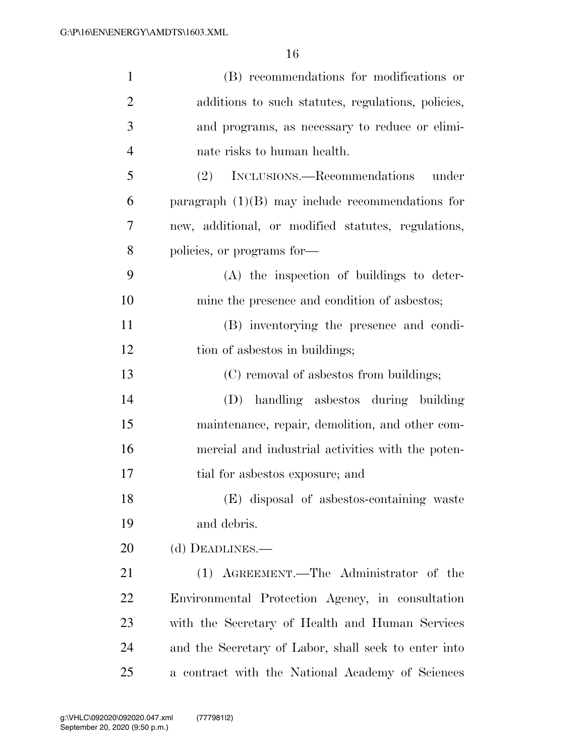| $\mathbf{1}$   | (B) recommendations for modifications or             |
|----------------|------------------------------------------------------|
| $\overline{2}$ | additions to such statutes, regulations, policies,   |
| 3              | and programs, as necessary to reduce or elimi-       |
| $\overline{4}$ | nate risks to human health.                          |
| 5              | (2) INCLUSIONS.—Recommendations under                |
| 6              | paragraph $(1)(B)$ may include recommendations for   |
| 7              | new, additional, or modified statutes, regulations,  |
| 8              | policies, or programs for-                           |
| 9              | (A) the inspection of buildings to deter-            |
| 10             | mine the presence and condition of asbestos;         |
| 11             | (B) inventorying the presence and condi-             |
| 12             | tion of asbestos in buildings;                       |
| 13             | (C) removal of asbestos from buildings;              |
| 14             | (D) handling asbestos during building                |
| 15             | maintenance, repair, demolition, and other com-      |
| 16             | mercial and industrial activities with the poten-    |
| 17             | tial for asbestos exposure; and                      |
| 18             | (E) disposal of asbestos-containing waste            |
| 19             | and debris.                                          |
| 20             | (d) DEADLINES.-                                      |
| 21             | (1) AGREEMENT.—The Administrator of the              |
| 22             | Environmental Protection Agency, in consultation     |
| 23             | with the Secretary of Health and Human Services      |
| 24             | and the Secretary of Labor, shall seek to enter into |
| 25             | a contract with the National Academy of Sciences     |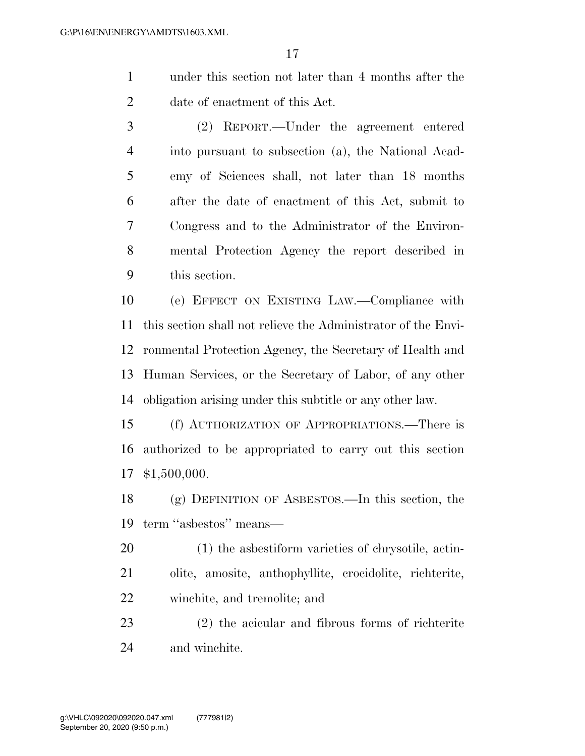- under this section not later than 4 months after the date of enactment of this Act.
- (2) REPORT.—Under the agreement entered into pursuant to subsection (a), the National Acad- emy of Sciences shall, not later than 18 months after the date of enactment of this Act, submit to Congress and to the Administrator of the Environ- mental Protection Agency the report described in this section.

 (e) EFFECT ON EXISTING LAW.—Compliance with this section shall not relieve the Administrator of the Envi- ronmental Protection Agency, the Secretary of Health and Human Services, or the Secretary of Labor, of any other obligation arising under this subtitle or any other law.

 (f) AUTHORIZATION OF APPROPRIATIONS.—There is authorized to be appropriated to carry out this section \$1,500,000.

 (g) DEFINITION OF ASBESTOS.—In this section, the term ''asbestos'' means—

 (1) the asbestiform varieties of chrysotile, actin- olite, amosite, anthophyllite, crocidolite, richterite, winchite, and tremolite; and

 (2) the acicular and fibrous forms of richterite and winchite.